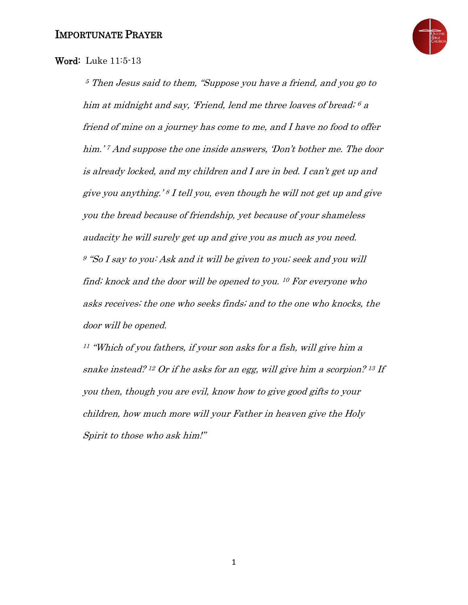

## Word: Luke 11:5-13

<sup>5</sup> Then Jesus said to them, "Suppose you have a friend, and you go to him at midnight and say, 'Friend, lend me three loaves of bread; <sup>6</sup> <sup>a</sup> friend of mine on a journey has come to me, and I have no food to offer him.'<sup>7</sup> And suppose the one inside answers, 'Don't bother me. The door is already locked, and my children and I are in bed. I can't get up and give you anything.' <sup>8</sup> I tell you, even though he will not get up and give you the bread because of friendship, yet because of your shameless audacity he will surely get up and give you as much as you need. <sup>9</sup> "So I say to you: Ask and it will be given to you; seek and you will find; knock and the door will be opened to you. <sup>10</sup> For everyone who asks receives; the one who seeks finds; and to the one who knocks, the door will be opened.

<sup>11</sup> "Which of you fathers, if your son asks for a fish, will give him a snake instead? <sup>12</sup> Or if he asks for an egg, will give him a scorpion? <sup>13</sup> If you then, though you are evil, know how to give good gifts to your children, how much more will your Father in heaven give the Holy Spirit to those who ask him!"